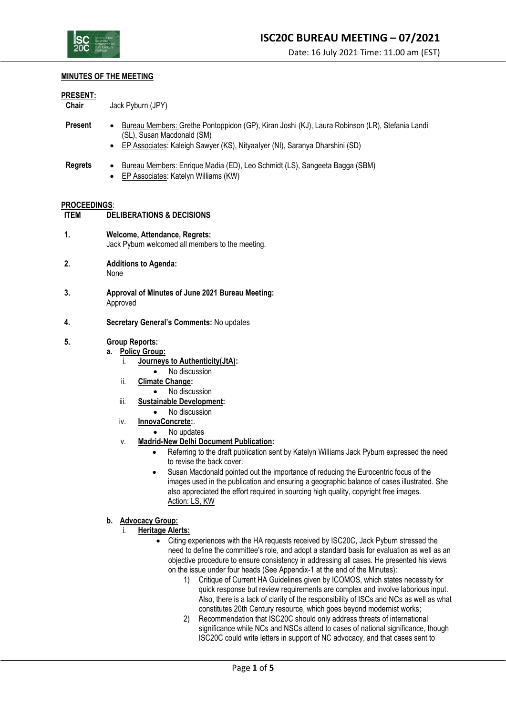

### **MINUTES OF THE MEETING**

### **PRESENT:**

**Chair** Jack Pyburn (JPY)

- **Present** Bureau Members: Grethe Pontoppidon (GP), Kiran Joshi (KJ), Laura Robinson (LR), Stefania Landi (SL), Susan Macdonald (SM)
	- EP Associates: Kaleigh Sawyer (KS), NityaaIyer (NI), Saranya Dharshini (SD)
- **Regrets** Bureau Members: Enrique Madia (ED), Leo Schmidt (LS), Sangeeta Bagga (SBM)
	- EP Associates: Katelyn Williams (KW)

## **PROCEEDINGS**:

- **ITEM DELIBERATIONS & DECISIONS**
- **1. Welcome, Attendance, Regrets:** Jack Pyburn welcomed all members to the meeting.
- **2. Additions to Agenda:** None
- **3. Approval of Minutes of June 2021 Bureau Meeting:** Approved
- **4. Secretary General's Comments:** No updates

## **5. Group Reports:**

- **a. Policy Group:**
	- i. **Journeys to Authenticity(JtA):**
		- No discussion
	- ii. **Climate Change:**
		- No discussion
	- iii. **Sustainable Development:**
		- No discussion
	- iv. **InnovaConcrete:**.
		- No updates
	- v. **Madrid-New Delhi Document Publication:**
		- Referring to the draft publication sent by Katelyn Williams Jack Pyburn expressed the need to revise the back cover.
		- Susan Macdonald pointed out the importance of reducing the Eurocentric focus of the images used in the publication and ensuring a geographic balance of cases illustrated. She also appreciated the effort required in sourcing high quality, copyright free images. Action: LS, KW

## **b. Advocacy Group:**

- i. **Heritage Alerts:**
	- Citing experiences with the HA requests received by ISC20C, Jack Pyburn stressed the need to define the committee's role, and adopt a standard basis for evaluation as well as an objective procedure to ensure consistency in addressing all cases. He presented his views on the issue under four heads (See Appendix-1 at the end of the Minutes):
		- 1) Critique of Current HA Guidelines given by ICOMOS, which states necessity for quick response but review requirements are complex and involve laborious input. Also, there is a lack of clarity of the responsibility of ISCs and NCs as well as what constitutes 20th Century resource, which goes beyond modernist works;
		- 2) Recommendation that ISC20C should only address threats of international significance while NCs and NSCs attend to cases of national significance, though ISC20C could write letters in support of NC advocacy, and that cases sent to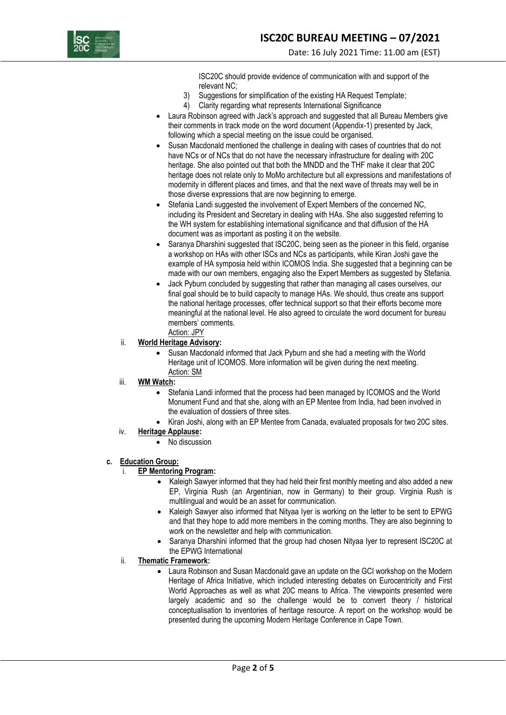

ISC20C should provide evidence of communication with and support of the relevant NC;

- 3) Suggestions for simplification of the existing HA Request Template;
- 4) Clarity regarding what represents International Significance
- Laura Robinson agreed with Jack's approach and suggested that all Bureau Members give their comments in track mode on the word document (Appendix-1) presented by Jack, following which a special meeting on the issue could be organised.
- Susan Macdonald mentioned the challenge in dealing with cases of countries that do not have NCs or of NCs that do not have the necessary infrastructure for dealing with 20C heritage. She also pointed out that both the MNDD and the THF make it clear that 20C heritage does not relate only to MoMo architecture but all expressions and manifestations of modernity in different places and times, and that the next wave of threats may well be in those diverse expressions that are now beginning to emerge.
- Stefania Landi suggested the involvement of Expert Members of the concerned NC, including its President and Secretary in dealing with HAs. She also suggested referring to the WH system for establishing international significance and that diffusion of the HA document was as important as posting it on the website.
- Saranya Dharshini suggested that ISC20C, being seen as the pioneer in this field, organise a workshop on HAs with other ISCs and NCs as participants, while Kiran Joshi gave the example of HA symposia held within ICOMOS India. She suggested that a beginning can be made with our own members, engaging also the Expert Members as suggested by Stefania.
- Jack Pyburn concluded by suggesting that rather than managing all cases ourselves, our final goal should be to build capacity to manage HAs. We should, thus create ans support the national heritage processes, offer technical support so that their efforts become more meaningful at the national level. He also agreed to circulate the word document for bureau members' comments.
- Action: JPY
- ii. **World Heritage Advisory:** 
	- Susan Macdonald informed that Jack Pyburn and she had a meeting with the World Heritage unit of ICOMOS. More information will be given during the next meeting. Action: SM
- iii. **WM Watch:** 
	- Stefania Landi informed that the process had been managed by ICOMOS and the World Monument Fund and that she, along with an EP Mentee from India, had been involved in the evaluation of dossiers of three sites.
	- Kiran Joshi, along with an EP Mentee from Canada, evaluated proposals for two 20C sites.
- iv. **Heritage Applause:** 
	- No discussion
- **c. Education Group:**

### i. **EP Mentoring Program:**

- Kaleigh Sawyer informed that they had held their first monthly meeting and also added a new EP, Virginia Rush (an Argentinian, now in Germany) to their group. Virginia Rush is multilingual and would be an asset for communication.
- Kaleigh Sawyer also informed that Nityaa Iyer is working on the letter to be sent to EPWG and that they hope to add more members in the coming months. They are also beginning to work on the newsletter and help with communication.
- Saranya Dharshini informed that the group had chosen Nityaa Iyer to represent ISC20C at the EPWG International
- ii. **Thematic Framework:** 
	- Laura Robinson and Susan Macdonald gave an update on the GCI workshop on the Modern Heritage of Africa Initiative, which included interesting debates on Eurocentricity and First World Approaches as well as what 20C means to Africa. The viewpoints presented were largely academic and so the challenge would be to convert theory / historical conceptualisation to inventories of heritage resource. A report on the workshop would be presented during the upcoming Modern Heritage Conference in Cape Town.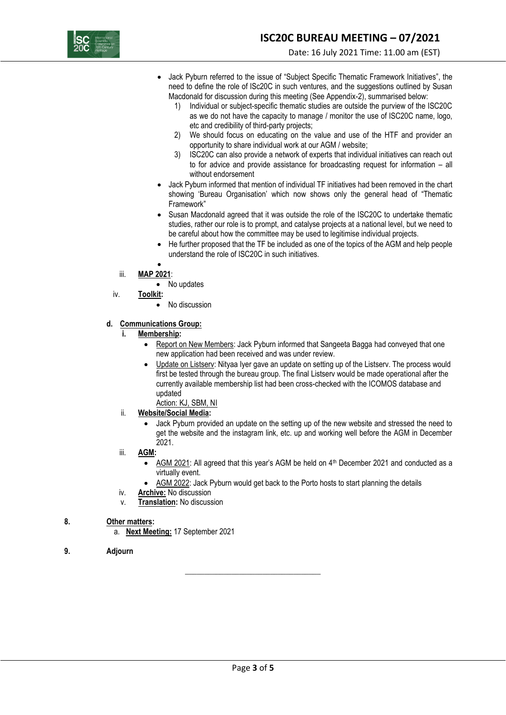

- Jack Pyburn referred to the issue of "Subject Specific Thematic Framework Initiatives", the need to define the role of ISc20C in such ventures, and the suggestions outlined by Susan Macdonald for discussion during this meeting (See Appendix-2), summarised below:
	- 1) Individual or subject-specific thematic studies are outside the purview of the ISC20C as we do not have the capacity to manage / monitor the use of ISC20C name, logo, etc and credibility of third-party projects;
	- 2) We should focus on educating on the value and use of the HTF and provider an opportunity to share individual work at our AGM / website;
	- 3) ISC20C can also provide a network of experts that individual initiatives can reach out to for advice and provide assistance for broadcasting request for information – all without endorsement
- Jack Pyburn informed that mention of individual TF initiatives had been removed in the chart showing 'Bureau Organisation' which now shows only the general head of "Thematic Framework"
- Susan Macdonald agreed that it was outside the role of the ISC20C to undertake thematic studies, rather our role is to prompt, and catalyse projects at a national level, but we need to be careful about how the committee may be used to legitimise individual projects.
- He further proposed that the TF be included as one of the topics of the AGM and help people understand the role of ISC20C in such initiatives.
- •
- iii. **MAP 2021**:
- No updates iv. **Toolkit:**
	-
	- No discussion

## **d. Communications Group:**

- **i. Membership:**
	- Report on New Members: Jack Pyburn informed that Sangeeta Bagga had conveyed that one new application had been received and was under review.
	- Update on Listserv: Nityaa Iyer gave an update on setting up of the Listserv. The process would first be tested through the bureau group. The final Listserv would be made operational after the currently available membership list had been cross-checked with the ICOMOS database and updated
	- Action: KJ, SBM, NI
- ii. **Website/Social Media:**
	- Jack Pyburn provided an update on the setting up of the new website and stressed the need to get the website and the instagram link, etc. up and working well before the AGM in December 2021.
- iii. **AGM:**
	- AGM 2021: All agreed that this year's AGM be held on 4th December 2021 and conducted as a virtually event.
	- AGM 2022: Jack Pyburn would get back to the Porto hosts to start planning the details
- iv. **Archive:** No discussion
- v. **Translation:** No discussion

## **8. Other matters:**

- a. **Next Meeting:** 17 September 2021
- **9. Adjourn**

\_\_\_\_\_\_\_\_\_\_\_\_\_\_\_\_\_\_\_\_\_\_\_\_\_\_\_\_\_\_\_\_\_\_\_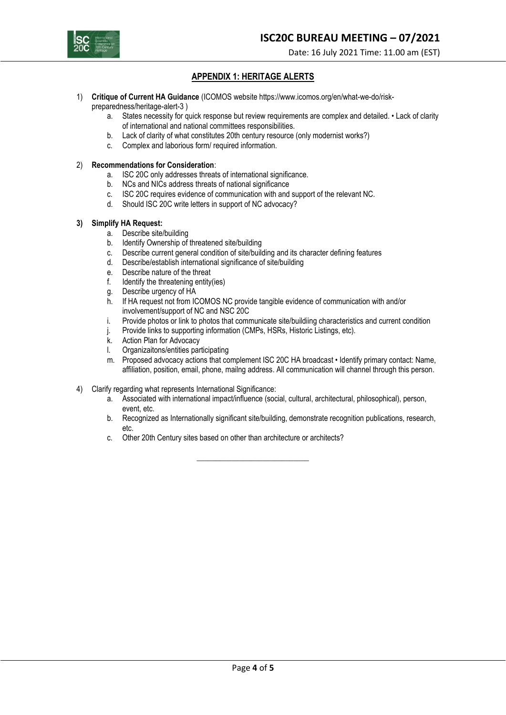

Date: 16 July 2021 Time: 11.00 am (EST)

# **APPENDIX 1: HERITAGE ALERTS**

- 1) **Critique of Current HA Guidance** (ICOMOS website https://www.icomos.org/en/what-we-do/riskpreparedness/heritage-alert-3 )
	- a. States necessity for quick response but review requirements are complex and detailed. Lack of clarity of international and national committees responsibilities.
	- b. Lack of clarity of what constitutes 20th century resource (only modernist works?)
	- c. Complex and laborious form/ required information.
- 2) **Recommendations for Consideration**:
	- a. ISC 20C only addresses threats of international significance.
	- b. NCs and NICs address threats of national significance
	- c. ISC 20C requires evidence of communication with and support of the relevant NC.
	- d. Should ISC 20C write letters in support of NC advocacy?

### **3) Simplify HA Request:**

- a. Describe site/building
- b. Identify Ownership of threatened site/building
- c. Describe current general condition of site/building and its character defining features
- d. Describe/establish international significance of site/building
- e. Describe nature of the threat
- f. Identify the threatening entity(ies)
- g. Describe urgency of HA
- h. If HA request not from ICOMOS NC provide tangible evidence of communication with and/or involvement/support of NC and NSC 20C
- i. Provide photos or link to photos that communicate site/buildiing characteristics and current condition
- j. Provide links to supporting information (CMPs, HSRs, Historic Listings, etc).
- k. Action Plan for Advocacy
- l. Organizaitons/entities participating
- m. Proposed advocacy actions that complement ISC 20C HA broadcast Identify primary contact: Name, affiliation, position, email, phone, mailng address. All communication will channel through this person.
- 4) Clarify regarding what represents International Significance:
	- a. Associated with international impact/influence (social, cultural, architectural, philosophical), person, event, etc.
	- b. Recognized as Internationally significant site/building, demonstrate recognition publications, research, etc.

\_\_\_\_\_\_\_\_\_\_\_\_\_\_\_\_\_\_\_\_\_\_\_\_\_\_\_\_\_

c. Other 20th Century sites based on other than architecture or architects?